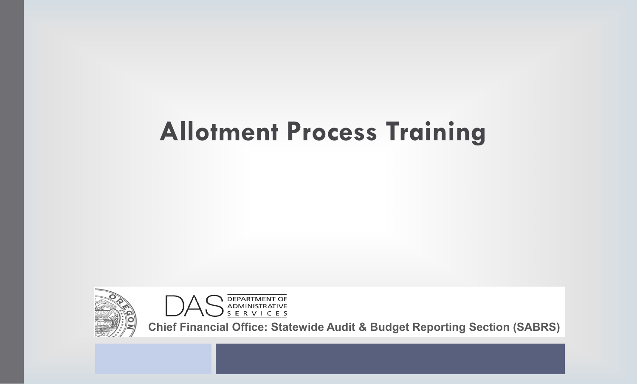# **Allotment Process Training**





**Chief Financial Office: Statewide Audit & Budget Reporting Section (SABRS)**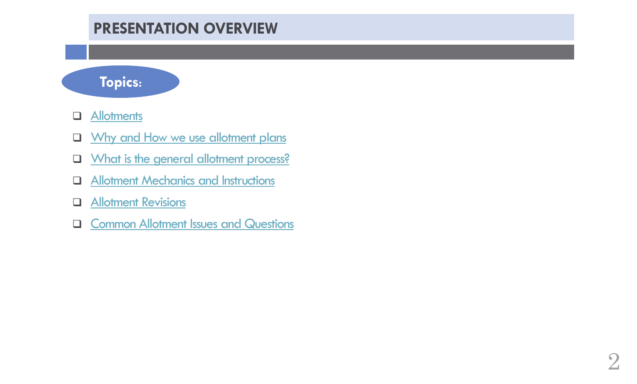# **PRESENTATION OVERVIEW**



- **Q** [Allotments](#page-2-0)
- **Q** [Why and How we use allotment plans](#page-4-0)
- **Q** [What is the general allotment process?](#page-4-0)
- **Q** [Allotment Mechanics and Instructions](#page-5-0)
- **Q** [Allotment Revisions](#page-11-0)
- **Q [Common Allotment Issues and Questions](#page-13-0)**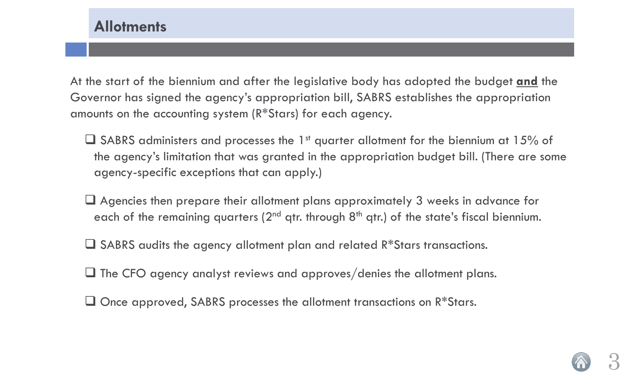<span id="page-2-0"></span>At the start of the biennium and after the legislative body has adopted the budget **and** the Governor has signed the agency's appropriation bill, SABRS establishes the appropriation amounts on the accounting system (R\*Stars) for each agency.

- $\Box$  SABRS administers and processes the 1<sup>st</sup> quarter allotment for the biennium at 15% of the agency's limitation that was granted in the appropriation budget bill. (There are some agency-specific exceptions that can apply.)
- Agencies then prepare their allotment plans approximately 3 weeks in advance for each of the remaining quarters ( $2<sup>nd</sup>$  qtr. through  $8<sup>th</sup>$  qtr.) of the state's fiscal biennium.
- □ SABRS audits the agency allotment plan and related R\*Stars transactions.
- $\Box$  The CFO agency analyst reviews and approves/denies the allotment plans.
- $\Box$  Once approved, SABRS processes the allotment transactions on  $R*$ Stars.

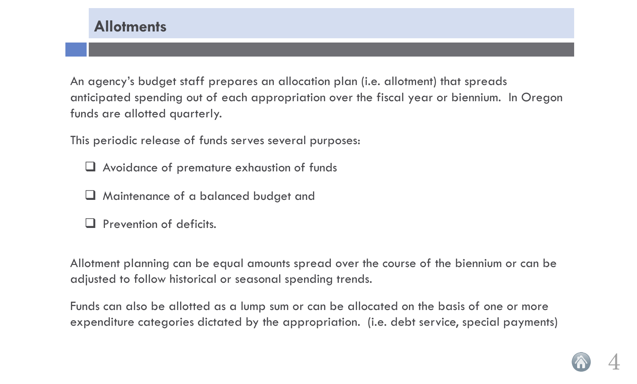An agency's budget staff prepares an allocation plan (i.e. allotment) that spreads anticipated spending out of each appropriation over the fiscal year or biennium. In Oregon funds are allotted quarterly.

This periodic release of funds serves several purposes:

- Avoidance of premature exhaustion of funds
- **H** Maintenance of a balanced budget and
- $\Box$  Prevention of deficits.

Allotment planning can be equal amounts spread over the course of the biennium or can be adjusted to follow historical or seasonal spending trends.

Funds can also be allotted as a lump sum or can be allocated on the basis of one or more expenditure categories dictated by the appropriation. (i.e. debt service, special payments)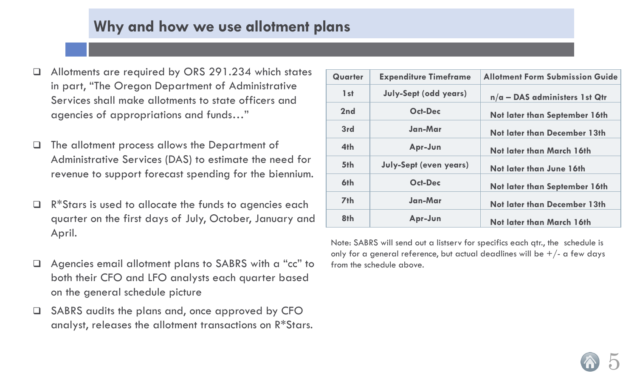## **Why and how we use allotment plans**

- <span id="page-4-0"></span> Allotments are required by ORS 291.234 which states in part, "The Oregon Department of Administrative Services shall make allotments to state officers and agencies of appropriations and funds…"
- The allotment process allows the Department of Administrative Services (DAS) to estimate the need for revenue to support forecast spending for the biennium.
- R\*Stars is used to allocate the funds to agencies each quarter on the first days of July, October, January and April.
- Agencies email allotment plans to SABRS with a "cc" to both their CFO and LFO analysts each quarter based on the general schedule picture
- SABRS audits the plans and, once approved by CFO analyst, releases the allotment transactions on R\*Stars.

| Quarter         | <b>Expenditure Timeframe</b>  | <b>Allotment Form Submission Guide</b> |
|-----------------|-------------------------------|----------------------------------------|
| 1st             | <b>July-Sept (odd years)</b>  | $n/a$ - DAS administers 1st Qtr        |
| 2nd             | <b>Oct-Dec</b>                | Not later than September 16th          |
| 3rd             | Jan-Mar                       | Not later than December 13th           |
| 4th             | Apr-Jun                       | Not later than March 16th              |
| 5th             | <b>July-Sept (even years)</b> | Not later than June 16th               |
| 6th             | <b>Oct-Dec</b>                | <b>Not later than September 16th</b>   |
| 7 <sub>th</sub> | Jan-Mar                       | <b>Not later than December 13th</b>    |
| 8th             | Apr-Jun                       | Not later than March 16th              |

Note: SABRS will send out a listserv for specifics each qtr., the schedule is only for a general reference, but actual deadlines will be  $+/-$  a few days from the schedule above.

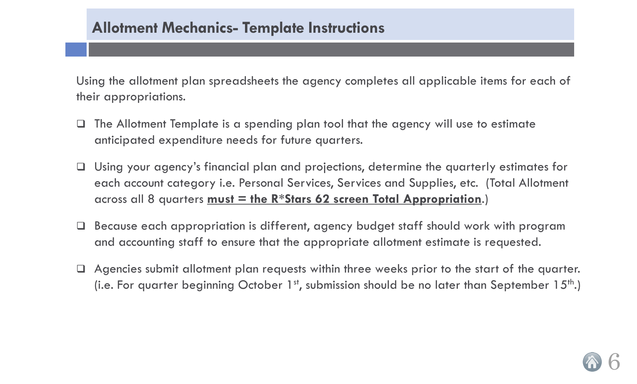## <span id="page-5-0"></span>**Allotment Mechanics- Template Instructions**

Using the allotment plan spreadsheets the agency completes all applicable items for each of their appropriations.

- The Allotment Template is a spending plan tool that the agency will use to estimate anticipated expenditure needs for future quarters.
- Using your agency's financial plan and projections, determine the quarterly estimates for each account category i.e. Personal Services, Services and Supplies, etc. (Total Allotment across all 8 quarters **must = the R\*Stars 62 screen Total Appropriation**.)
- Because each appropriation is different, agency budget staff should work with program and accounting staff to ensure that the appropriate allotment estimate is requested.
- Agencies submit allotment plan requests within three weeks prior to the start of the quarter. (i.e. For quarter beginning October 1<sup>st</sup>, submission should be no later than September 15<sup>th</sup>.)

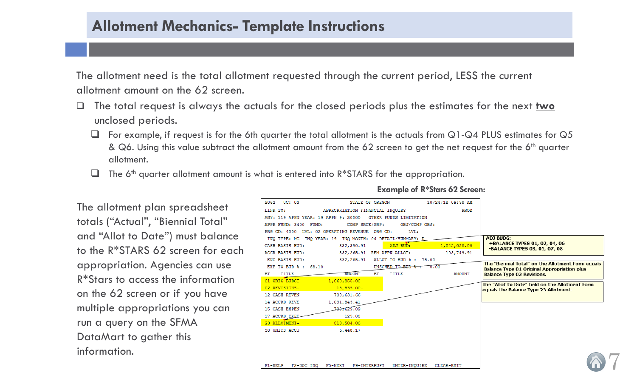## **Allotment Mechanics- Template Instructions**

The allotment need is the total allotment requested through the current period, LESS the current allotment amount on the 62 screen.

- The total request is always the actuals for the closed periods plus the estimates for the next **two** unclosed periods.
	- For example, if request is for the 6th quarter the total allotment is the actuals from Q1-Q4 PLUS estimates for Q5 & Q6. Using this value subtract the allotment amount from the 62 screen to get the net request for the 6<sup>th</sup> quarter allotment.

STATE OF OREGON

 $\Box$  The 6<sup>th</sup> quarter allotment amount is what is entered into  $R*STARS$  for the appropriation.

S062 UC: 03

The allotment plan spreadsheet totals ("Actual", "Biennial Total" and "Allot to Date") must balance to the R\*STARS 62 screen for each appropriation. Agencies can use R\*Stars to access the information on the 62 screen or if you have multiple appropriations you can run a query on the SFMA DataMart to gather this information.

| LINK TO:                             | APPROPRIATION FINANCIAL INQUIRY                           |                            | PROD          |                                                                                                  |
|--------------------------------------|-----------------------------------------------------------|----------------------------|---------------|--------------------------------------------------------------------------------------------------|
| AGY: 119 APPN YEAR: 19 APPN #: 30000 |                                                           | OTHER FUNDS LIMITATION     |               |                                                                                                  |
| APPR FUND: 3400 FUND:                | COMP SRCE/GRP:                                            | OBJ/COMP OBJ:              |               |                                                                                                  |
|                                      | PRG CD: 4000 LVL: 02 OPERATING REVENUE ORG CD:            | LVL:                       |               |                                                                                                  |
|                                      | INQ TYPE: MC INQ YEAR: 19 INQ MONTH: 04 DETAIL/SUMMARY: D |                            |               | <b>ADJ BUDG:</b>                                                                                 |
| CASH BASIS BUD:                      | 332, 390.91                                               | ADJ BUD:                   | 1,042,020.00  | +BALANCE TYPES 01, 02, 04, 06<br>-BALANCE TYPES 03, 05, 07, 08                                   |
| ACCR BASIS BUD:                      | 332, 265.91 REM APPN ALLOT:                               |                            | 103,749.91    |                                                                                                  |
| ENC BASIS BUD:                       | 332, 265, 91                                              | ALLOT TO BUD % : 78.00     |               |                                                                                                  |
| EXP TO BUD % : 68.10                 |                                                           | UNSCHED TO BUD & T<br>0.00 |               | The "Biennial Total" on the Allotment Form equals<br>Balance Type 01 Original Appropriation plus |
| TITLE<br>ВT                          | <b>AMOUNT</b><br>ВT                                       | TITLE                      | <b>AMOUNT</b> | <b>Balance Type 02 Revisions.</b>                                                                |
| 01 ORIG BUDGT                        | 1,060,855.00                                              |                            |               | The "Allot to Date" field on the Allotment Form                                                  |
| 02 REVISIONS-                        | $18,835.00 -$                                             |                            |               | equals the Balance Type 23 Allotment.                                                            |
| 12 CASH REVEN                        | 700,631.66                                                |                            |               |                                                                                                  |
| 14 ACCRD REVE                        | 1,031,843.41                                              |                            |               |                                                                                                  |
| 15 CASH EXPEN                        | 109, 629, 09                                              |                            |               |                                                                                                  |
| 17 ACCRD EXPE                        | 125.00                                                    |                            |               |                                                                                                  |
| 23 ALLOTMENT-                        | 813,504.00                                                |                            |               |                                                                                                  |
| 30 UNITS ACCU                        | 6,448.17                                                  |                            |               |                                                                                                  |
|                                      |                                                           |                            |               |                                                                                                  |
|                                      |                                                           |                            |               |                                                                                                  |
|                                      |                                                           |                            |               |                                                                                                  |
|                                      |                                                           |                            |               |                                                                                                  |
| $F1 - HELP$<br>F2-DOC INQ            | F5-NEXT<br>F9-INTERRUPT                                   | ENTER-INQUIRE              | CLEAR-EXIT    |                                                                                                  |
|                                      |                                                           |                            |               |                                                                                                  |

#### **Example of R\*Stars 62 Screen:**

10/24/18 09:58 AM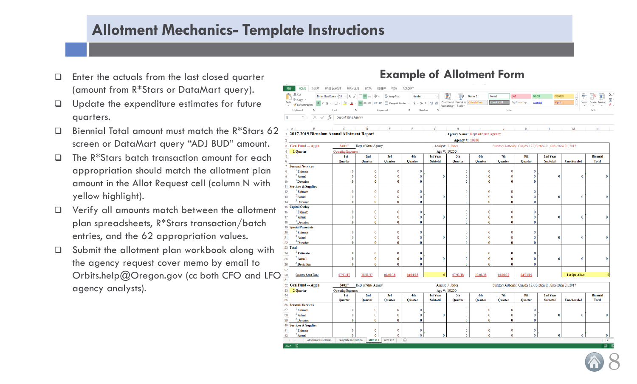## **Allotment Mechanics- Template Instructions**

- Enter the actuals from the last closed quarter (amount from R\*Stars or DataMart query).
- $\Box$  Update the expenditure estimates for future quarters.
- $\Box$  Biennial Total amount must match the R\*Stars 62 screen or DataMart query "ADJ BUD" amount.
- $\Box$  The R<sup>\*</sup>Stars batch transaction amount for each appropriation should match the allotment plan amount in the Allot Request cell (column N with yellow highlight).
- Verify all amounts match between the allotment plan spreadsheets, R\*Stars transaction/batch entries, and the 62 appropriation values.
- □ Submit the allotment plan workbook along with the agency request cover memo by email to Orbits.help@Oregon.gov (cc both CFO and LFO  $\frac{25}{31}$ agency analysts).

## **Example of Allotment Form**



allot # 1 allot # 2  $(\oplus)$ 

Allotment Guidelines | Template Instruction

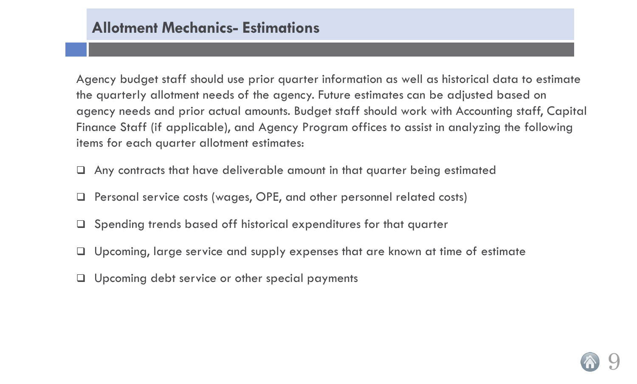Agency budget staff should use prior quarter information as well as historical data to estimate the quarterly allotment needs of the agency. Future estimates can be adjusted based on agency needs and prior actual amounts. Budget staff should work with Accounting staff, Capital Finance Staff (if applicable), and Agency Program offices to assist in analyzing the following items for each quarter allotment estimates:

- Any contracts that have deliverable amount in that quarter being estimated
- Personal service costs (wages, OPE, and other personnel related costs)
- $\Box$  Spending trends based off historical expenditures for that quarter
- □ Upcoming, large service and supply expenses that are known at time of estimate
- Upcoming debt service or other special payments

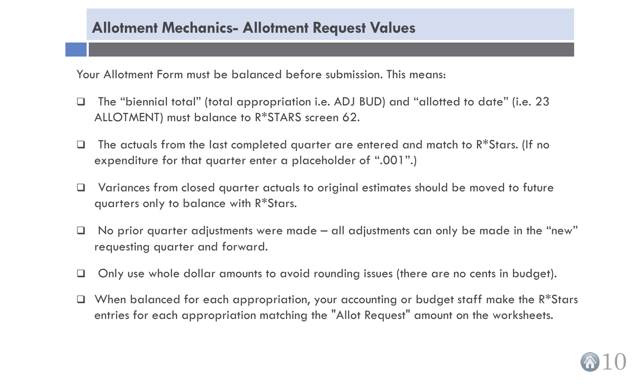## **Allotment Mechanics- Allotment Request Values**

Your Allotment Form must be balanced before submission. This means:

- The "biennial total" (total appropriation i.e. ADJ BUD) and "allotted to date" (i.e. 23 ALLOTMENT) must balance to R\*STARS screen 62.
- $\Box$  The actuals from the last completed quarter are entered and match to  $R*S$ tars. (If no expenditure for that quarter enter a placeholder of ".001".)
- □ Variances from closed quarter actuals to original estimates should be moved to future quarters only to balance with R\*Stars.
- $\Box$  No prior quarter adjustments were made all adjustments can only be made in the "new" requesting quarter and forward.
- □ Only use whole dollar amounts to avoid rounding issues (there are no cents in budget).
- $\Box$  When balanced for each appropriation, your accounting or budget staff make the R\*Stars entries for each appropriation matching the "Allot Request" amount on the worksheets.

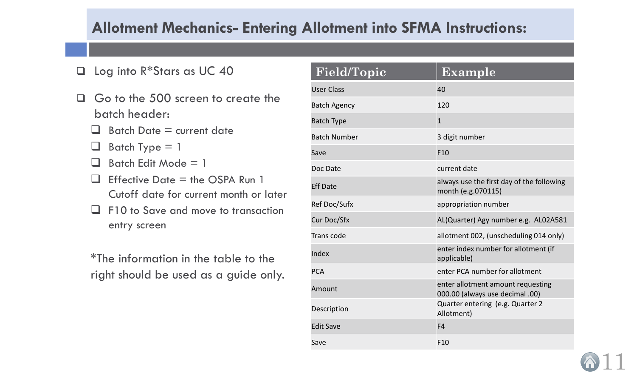## **Allotment Mechanics- Entering Allotment into SFMA Instructions:**

- Log into R\*Stars as UC 40
- Go to the 500 screen to create the batch header:
	- $\Box$  Batch Date = current date
	- $\Box$  Batch Type = 1
	- $\Box$  Batch Edit Mode = 1
	- $\Box$  Effective Date = the OSPA Run 1 Cutoff date for current month or later
	- $\Box$  F10 to Save and move to transaction entry screen

\*The information in the table to the right should be used as a guide only.

| Field/Topic         | Example                                                              |
|---------------------|----------------------------------------------------------------------|
| <b>User Class</b>   | 40                                                                   |
| <b>Batch Agency</b> | 120                                                                  |
| <b>Batch Type</b>   | $\mathbf{1}$                                                         |
| <b>Batch Number</b> | 3 digit number                                                       |
| Save                | F10                                                                  |
| Doc Date            | current date                                                         |
| <b>Eff Date</b>     | always use the first day of the following<br>month (e.g.070115)      |
| Ref Doc/Sufx        | appropriation number                                                 |
| Cur Doc/Sfx         | AL(Quarter) Agy number e.g. AL02A581                                 |
| Trans code          | allotment 002, (unscheduling 014 only)                               |
| Index               | enter index number for allotment (if<br>applicable)                  |
| <b>PCA</b>          | enter PCA number for allotment                                       |
| Amount              | enter allotment amount requesting<br>000.00 (always use decimal .00) |
| Description         | Quarter entering (e.g. Quarter 2<br>Allotment)                       |
| <b>Edit Save</b>    | F <sub>4</sub>                                                       |
| Save                | F10                                                                  |

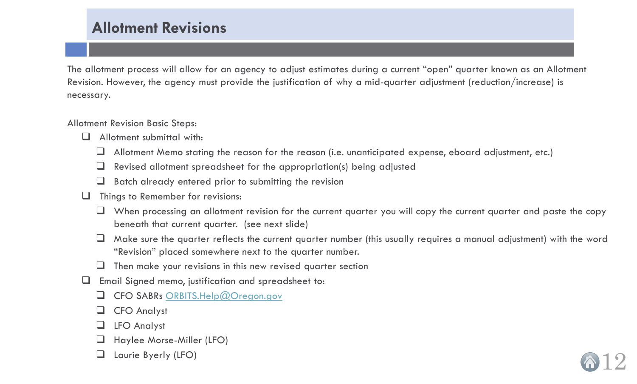## **Allotment Revisions**

<span id="page-11-0"></span>The allotment process will allow for an agency to adjust estimates during a current "open" quarter known as an Allotment Revision. However, the agency must provide the justification of why a mid-quarter adjustment (reduction/increase) is necessary.

Allotment Revision Basic Steps:

- $\Box$  Allotment submittal with:
	- Allotment Memo stating the reason for the reason (i.e. unanticipated expense, eboard adjustment, etc.)
	- $\Box$  Revised allotment spreadsheet for the appropriation(s) being adjusted
	- $\Box$  Batch already entered prior to submitting the revision
- $\Box$  Things to Remember for revisions:
	- $\Box$  When processing an allotment revision for the current quarter you will copy the current quarter and paste the copy beneath that current quarter. (see next slide)
	- $\Box$  Make sure the quarter reflects the current quarter number (this usually requires a manual adjustment) with the word "Revision" placed somewhere next to the quarter number.

12

- $\Box$  Then make your revisions in this new revised quarter section
- Email Signed memo, justification and spreadsheet to:
	- CFO SABRs [ORBITS.Help@Oregon.gov](mailto:ORBITS.Help@Oregon.gov)
	- CFO Analyst
	- LFO Analyst
	- Haylee Morse-Miller (LFO)
	- Laurie Byerly (LFO)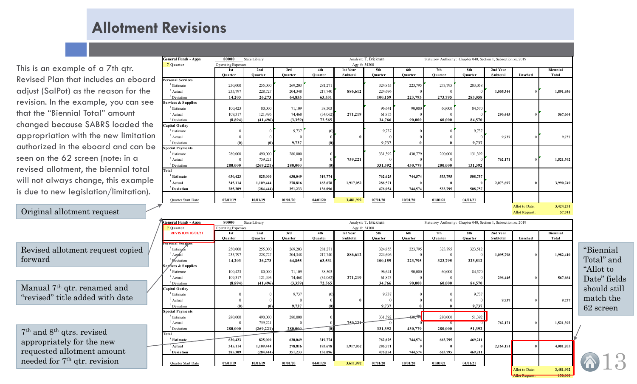## **Allotment Revisions**

This is an example of a 7th qtr. Revised Plan that includes an eboard adjust (SalPot) as the reason for the revision. In the example, you can see that the "Biennial Total" amount changed because SABRS loaded the appropriation with the new limitation authorized in the eboard and can be seen on the 62 screen (note: in a revised allotment, the biennial total will not always change, this example is due to new legislation/limitation).

### Original allotment request

Revised allotment request copied forward

Manual 7th qtr. renamed and "revised" title added with date

7th and 8th qtrs. revised appropriately for the new requested allotment amount needed for 7th qtr. revision

| <b>General Funds - Appn</b> | 80000              | Analyst: T. Brickman<br>State Library<br>Statutory Authority: Chapter 040, Section 1, Subsection xx, 2019 |          |          |                 |          |              |          |          |           |                       |           |
|-----------------------------|--------------------|-----------------------------------------------------------------------------------------------------------|----------|----------|-----------------|----------|--------------|----------|----------|-----------|-----------------------|-----------|
| 7 Quarter                   | Operating Expenses |                                                                                                           |          |          | Agy #: 54300    |          |              |          |          |           |                       |           |
|                             | 1 <sub>st</sub>    | 2nd                                                                                                       | 3rd      | 4th      | 1st Year        | 5th      | 6th          | 7th      | 8th      | 2nd Year  |                       | Biennial  |
|                             | Ouarter            | Quarter                                                                                                   | Quarter  | Quarter  | <b>Subtotal</b> | Quarter  | Quarter      | Ouarter  | Ouarter  | Subtotal  | Unsched               | Total     |
| <b>Personal Services</b>    |                    |                                                                                                           |          |          |                 |          |              |          |          |           |                       |           |
| Estimate                    | 250,000            | 255,000                                                                                                   | 269,203  | 281,271  |                 | 324,855  | 223,795      | 273,795  | 283,058  |           |                       |           |
| $2$ Actual                  | 235,797            | 228,727                                                                                                   | 204,348  | 217,740  | 886,612         | 224,696  | $\Omega$     |          |          | 1,005,344 | $\overline{0}$        | 1,891,956 |
| <sup>3</sup> Deviation      | 14,203             | 26,273                                                                                                    | 64,855   | 63,531   |                 | 100,159  | 223,795      | 273,795  | 283,058  |           |                       |           |
| Services & Supplies         |                    |                                                                                                           |          |          |                 |          |              |          |          |           |                       |           |
| Estimate                    | 100,423            | 80,000                                                                                                    | 71,109   | 38,503   |                 | 96,641   | 90,000       | 60,000   | 84,570   |           |                       |           |
| $2$ Actual                  | 109,317            | 121,496                                                                                                   | 74,468   | (34,062) | 271,219         | 61,875   | $\Omega$     |          |          | 296,445   | $\mathbf{0}$          | 567,664   |
| $3$ Deviation               | (8,894)            | (41, 496)                                                                                                 | (3,359)  | 72,565   |                 | 34,766   | 90.000       | 60.000   | 84,570   |           |                       |           |
| Capital Outlay              |                    |                                                                                                           |          |          |                 |          |              |          |          |           |                       |           |
| Estimate                    |                    |                                                                                                           | 9,737    | (0)      |                 | 9,737    | $\Omega$     |          | 9,737    |           |                       |           |
| $2$ Actual                  |                    |                                                                                                           |          |          | $\bf{0}$        |          |              |          |          | 9,737     | $\Omega$              | 9,737     |
| <sup>3</sup> Deviation      | (0)                | (0)                                                                                                       | 9,737    |          |                 | 9,737    |              |          | 9,737    |           |                       |           |
| <b>Special Payments</b>     |                    |                                                                                                           |          |          |                 |          |              |          |          |           |                       |           |
| Estimate                    | 280,000            | 490,000                                                                                                   | 280,000  |          |                 | 331,392  | 430,779      | 200,000  | 131,392  |           |                       |           |
| $2$ Actual                  |                    | 759,221                                                                                                   |          |          | 759,221         |          | $\Omega$     |          |          | 762,171   | $\mathbf{0}$          | 1,521,392 |
| <sup>3</sup> Deviation      | 280,000            | (269, 221)                                                                                                | 280,000  | (0)      |                 | 331,392  | 430,779      | 200,000  | 131,392  |           |                       |           |
| Total                       |                    |                                                                                                           |          |          |                 |          |              |          |          |           |                       |           |
| Estimate                    | 630,423            | 825,000                                                                                                   | 630,049  | 319,774  |                 | 762,625  | 744,574      | 533,795  | 508,757  |           |                       |           |
| <sup>2</sup> Actual         | 345,114            | 1,109,444                                                                                                 | 278,816  | 183,678  | 1,917,052       | 286,571  | $\mathbf{0}$ |          | $\theta$ | 2,073,697 | $\bf{0}$              | 3,990,749 |
| $3$ Deviation               | 285,309            | (284, 444)                                                                                                | 351,233  | 136,096  |                 | 476,054  | 744,574      | 533,795  | 508,757  |           |                       |           |
|                             |                    |                                                                                                           |          |          |                 |          |              |          |          |           |                       |           |
| Quarter Start Date          | 07/01/19           | 10/01/19                                                                                                  | 01/01/20 | 04/01/20 | 3,481,992       | 07/01/20 | 10/01/20     | 01/01/21 | 04/01/21 |           |                       |           |
|                             |                    |                                                                                                           |          |          |                 |          |              |          |          |           | Allot to Date:        | 3,424,251 |
|                             |                    |                                                                                                           |          |          |                 |          |              |          |          |           | <b>Allot Request:</b> | 57,741    |

| <b>General Funds - Appn</b> | 80000<br>Analyst: T. Brickman<br>State Library |            |          |          |                 |          |          | Statutory Authority: Chapter 040, Section 1, Subsection xx, 2019 |          |                 |                |           |
|-----------------------------|------------------------------------------------|------------|----------|----------|-----------------|----------|----------|------------------------------------------------------------------|----------|-----------------|----------------|-----------|
| 7 Quarter                   | Operating Expenses                             |            |          |          | Agy #: 54300    |          |          |                                                                  |          |                 |                |           |
| <b>REVIS ION 03/01/21</b>   | 1st                                            | 2nd        | 3rd      | 4th      | 1st Year        | 5th      | 6th      | 7th                                                              | 8th      | 2nd Year        |                | Biennial  |
|                             | Ouarter                                        | Ouarter    | Quarter  | Ouarter  | <b>Subtotal</b> | Ouarter  | Ouarter  | Ouarter                                                          | Ouarter  | <b>Subtotal</b> | Unsched        | Total     |
| Personal Services           |                                                |            |          |          |                 |          |          |                                                                  |          |                 |                |           |
| Estimate                    | 250,000                                        | 255,000    | 269,203  | 281,271  |                 | 324,855  | 223,795  | 323,795                                                          | 323,512  |                 |                |           |
| $2$ Actual                  | 235,797                                        | 228,727    | 204,348  | 217,740  | 886,612         | 224,696  |          |                                                                  |          | 1,095,798       |                | 1,982,410 |
| Deviation                   | 14,203                                         | 26,273     | 64,855   | 63,531   |                 | 100,159  | 223,795  | 323,795                                                          | 323,512  |                 |                |           |
| Services & Supplies         |                                                |            |          |          |                 |          |          |                                                                  |          |                 |                |           |
| Estimate                    | 100,423                                        | 80,000     | 71,109   | 38,503   |                 | 96,641   | 90,000   | 60,000                                                           | 84,570   |                 |                |           |
| $2$ Actual                  | 109,317                                        | 121,496    | 74,468   | (34,062) | 271,219         | 61,875   |          |                                                                  |          | 296,445         |                | 567,664   |
| <sup>3</sup> Deviation      | (8,894)                                        | (41, 496)  | (3,359)  | 72,565   |                 | 34,766   | 90.000   | 60.000                                                           | 84,570   |                 |                |           |
| Capital Outlay              |                                                |            |          |          |                 |          |          |                                                                  |          |                 |                |           |
| $1$ Estimate                |                                                |            | 9,737    |          |                 | 9,737    |          |                                                                  | 9,737    |                 |                |           |
| $2$ Actual                  |                                                |            |          |          | 0               |          |          |                                                                  |          | 9,737           |                | 9,737     |
| <sup>3</sup> Deviation      | (0)                                            | (0)        | 9,737    | (0)      |                 | 9,737    |          |                                                                  | 9,737    |                 |                |           |
| <b>Special Payments</b>     |                                                |            |          |          |                 |          |          |                                                                  |          |                 |                |           |
| $\frac{1}{1}$ Estimate      | 280,000                                        | 490,000    | 280,000  |          |                 | 331,392  | 430.775  | 280,000                                                          | 51,392   |                 |                |           |
| $2$ Actual                  |                                                | 759,221    |          |          | 759.221         |          |          |                                                                  |          | 762,171         |                | 1,521,392 |
| <sup>3</sup> Deviation      | 280,000                                        | (269, 221) | 280.000  | (0)      |                 | 331,392  | 430,779  | 280,000                                                          | 51,392   |                 |                |           |
| Total                       |                                                |            |          |          |                 |          |          |                                                                  |          |                 |                |           |
| <sup>1</sup> Estimate       | 630,423                                        | 825,000    | 630,049  | 319,774  |                 | 762,625  | 744,574  | 663,795                                                          | 469,211  |                 |                |           |
| Actual                      | 345,114                                        | 1.109.444  | 278,816  | 183,678  | 1,917,052       | 286,571  |          |                                                                  |          | 2,164,151       |                | 4,081,203 |
| <sup>3</sup> Deviation      | 285,309                                        | (284, 444) | 351,233  | 136,096  |                 | 476,054  | 744,574  | 663,795                                                          | 469,211  |                 |                |           |
|                             |                                                |            |          |          |                 |          |          |                                                                  |          |                 |                |           |
| Quarter Start Date          | 07/01/19                                       | 10/01/19   | 01/01/20 | 04/01/20 | 3,611,992       | 07/01/20 | 10/01/20 | 01/01/21                                                         | 04/01/21 |                 |                |           |
|                             |                                                |            |          |          |                 |          |          |                                                                  |          |                 | Allot to Date: | 3.481.992 |

"Biennial Total" and "Allot to Date" fields should still match the 62 screen

13

Allot Request: **130,000**